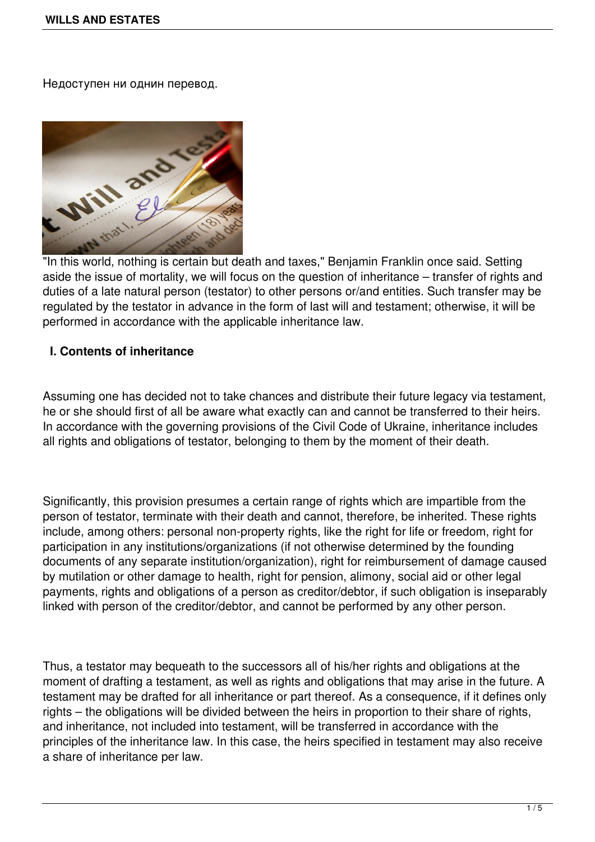Недоступен ни однин перевод.



aside the issue of mortality, we will focus on the question of inheritance – transfer of rights and duties of a late natural person (testator) to other persons or/and entities. Such transfer may be regulated by the testator in advance in the form of last will and testament; otherwise, it will be performed in accordance with the applicable inheritance law.

## **I. Contents of inheritance**

Assuming one has decided not to take chances and distribute their future legacy via testament, he or she should first of all be aware what exactly can and cannot be transferred to their heirs. In accordance with the governing provisions of the Civil Code of Ukraine, inheritance includes all rights and obligations of testator, belonging to them by the moment of their death.

Significantly, this provision presumes a certain range of rights which are impartible from the person of testator, terminate with their death and cannot, therefore, be inherited. These rights include, among others: personal non-property rights, like the right for life or freedom, right for participation in any institutions/organizations (if not otherwise determined by the founding documents of any separate institution/organization), right for reimbursement of damage caused by mutilation or other damage to health, right for pension, alimony, social aid or other legal payments, rights and obligations of a person as creditor/debtor, if such obligation is inseparably linked with person of the creditor/debtor, and cannot be performed by any other person.

Thus, a testator may bequeath to the successors all of his/her rights and obligations at the moment of drafting a testament, as well as rights and obligations that may arise in the future. A testament may be drafted for all inheritance or part thereof. As a consequence, if it defines only rights – the obligations will be divided between the heirs in proportion to their share of rights, and inheritance, not included into testament, will be transferred in accordance with the principles of the inheritance law. In this case, the heirs specified in testament may also receive a share of inheritance per law.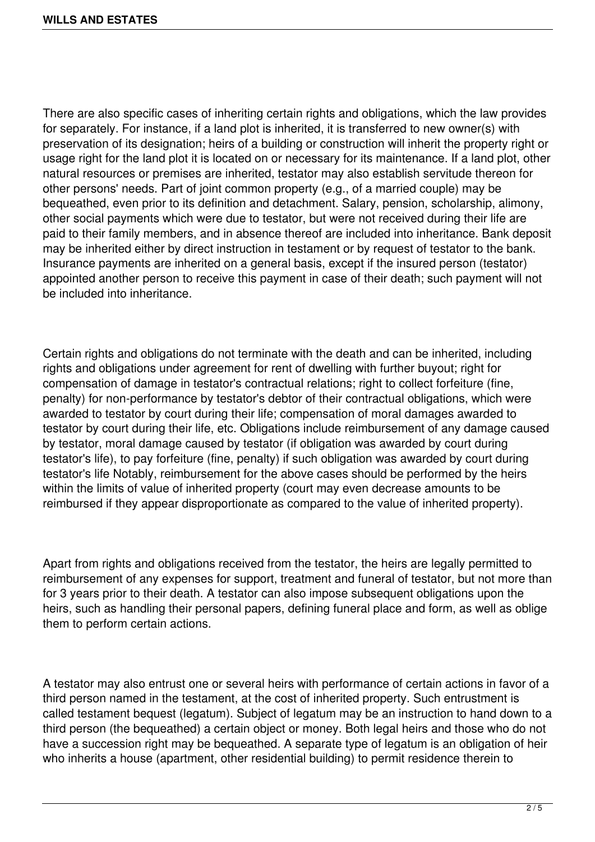There are also specific cases of inheriting certain rights and obligations, which the law provides for separately. For instance, if a land plot is inherited, it is transferred to new owner(s) with preservation of its designation; heirs of a building or construction will inherit the property right or usage right for the land plot it is located on or necessary for its maintenance. If a land plot, other natural resources or premises are inherited, testator may also establish servitude thereon for other persons' needs. Part of joint common property (e.g., of a married couple) may be bequeathed, even prior to its definition and detachment. Salary, pension, scholarship, alimony, other social payments which were due to testator, but were not received during their life are paid to their family members, and in absence thereof are included into inheritance. Bank deposit may be inherited either by direct instruction in testament or by request of testator to the bank. Insurance payments are inherited on a general basis, except if the insured person (testator) appointed another person to receive this payment in case of their death; such payment will not be included into inheritance.

Certain rights and obligations do not terminate with the death and can be inherited, including rights and obligations under agreement for rent of dwelling with further buyout; right for compensation of damage in testator's contractual relations; right to collect forfeiture (fine, penalty) for non-performance by testator's debtor of their contractual obligations, which were awarded to testator by court during their life; compensation of moral damages awarded to testator by court during their life, etc. Obligations include reimbursement of any damage caused by testator, moral damage caused by testator (if obligation was awarded by court during testator's life), to pay forfeiture (fine, penalty) if such obligation was awarded by court during testator's life Notably, reimbursement for the above cases should be performed by the heirs within the limits of value of inherited property (court may even decrease amounts to be reimbursed if they appear disproportionate as compared to the value of inherited property).

Apart from rights and obligations received from the testator, the heirs are legally permitted to reimbursement of any expenses for support, treatment and funeral of testator, but not more than for 3 years prior to their death. A testator can also impose subsequent obligations upon the heirs, such as handling their personal papers, defining funeral place and form, as well as oblige them to perform certain actions.

A testator may also entrust one or several heirs with performance of certain actions in favor of a third person named in the testament, at the cost of inherited property. Such entrustment is called testament bequest (legatum). Subject of legatum may be an instruction to hand down to a third person (the bequeathed) a certain object or money. Both legal heirs and those who do not have a succession right may be bequeathed. A separate type of legatum is an obligation of heir who inherits a house (apartment, other residential building) to permit residence therein to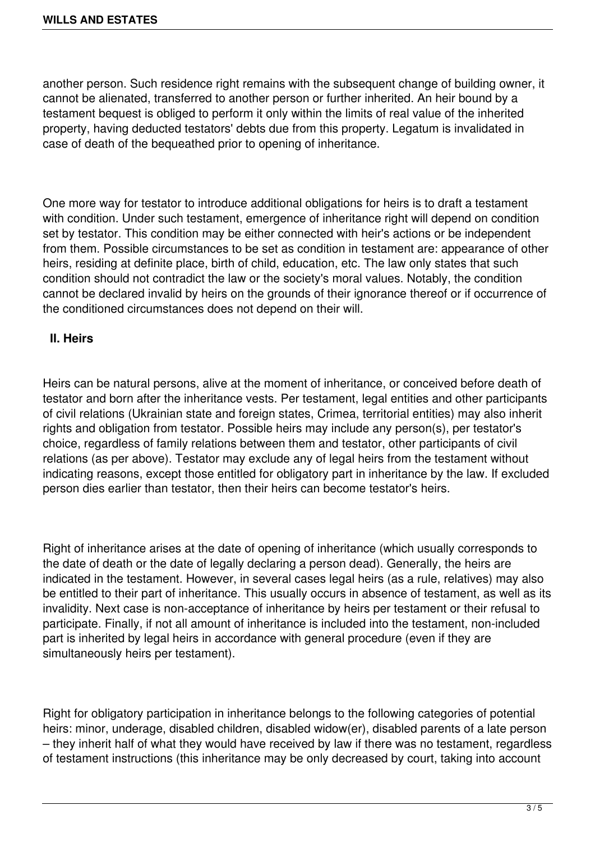another person. Such residence right remains with the subsequent change of building owner, it cannot be alienated, transferred to another person or further inherited. An heir bound by a testament bequest is obliged to perform it only within the limits of real value of the inherited property, having deducted testators' debts due from this property. Legatum is invalidated in case of death of the bequeathed prior to opening of inheritance.

One more way for testator to introduce additional obligations for heirs is to draft a testament with condition. Under such testament, emergence of inheritance right will depend on condition set by testator. This condition may be either connected with heir's actions or be independent from them. Possible circumstances to be set as condition in testament are: appearance of other heirs, residing at definite place, birth of child, education, etc. The law only states that such condition should not contradict the law or the society's moral values. Notably, the condition cannot be declared invalid by heirs on the grounds of their ignorance thereof or if occurrence of the conditioned circumstances does not depend on their will.

## **II. Heirs**

Heirs can be natural persons, alive at the moment of inheritance, or conceived before death of testator and born after the inheritance vests. Per testament, legal entities and other participants of civil relations (Ukrainian state and foreign states, Crimea, territorial entities) may also inherit rights and obligation from testator. Possible heirs may include any person(s), per testator's choice, regardless of family relations between them and testator, other participants of civil relations (as per above). Testator may exclude any of legal heirs from the testament without indicating reasons, except those entitled for obligatory part in inheritance by the law. If excluded person dies earlier than testator, then their heirs can become testator's heirs.

Right of inheritance arises at the date of opening of inheritance (which usually corresponds to the date of death or the date of legally declaring a person dead). Generally, the heirs are indicated in the testament. However, in several cases legal heirs (as a rule, relatives) may also be entitled to their part of inheritance. This usually occurs in absence of testament, as well as its invalidity. Next case is non-acceptance of inheritance by heirs per testament or their refusal to participate. Finally, if not all amount of inheritance is included into the testament, non-included part is inherited by legal heirs in accordance with general procedure (even if they are simultaneously heirs per testament).

Right for obligatory participation in inheritance belongs to the following categories of potential heirs: minor, underage, disabled children, disabled widow(er), disabled parents of a late person – they inherit half of what they would have received by law if there was no testament, regardless of testament instructions (this inheritance may be only decreased by court, taking into account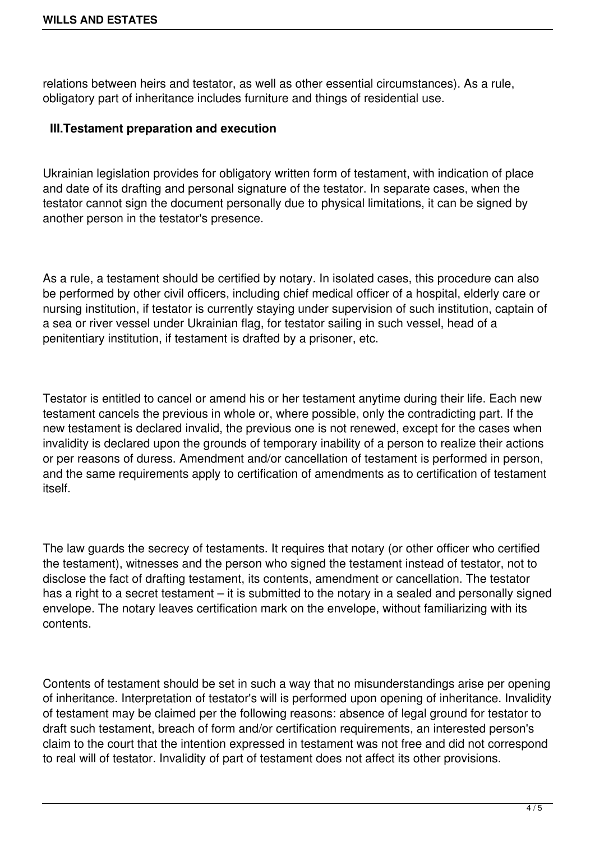relations between heirs and testator, as well as other essential circumstances). As a rule, obligatory part of inheritance includes furniture and things of residential use.

## **III.Testament preparation and execution**

Ukrainian legislation provides for obligatory written form of testament, with indication of place and date of its drafting and personal signature of the testator. In separate cases, when the testator cannot sign the document personally due to physical limitations, it can be signed by another person in the testator's presence.

As a rule, a testament should be certified by notary. In isolated cases, this procedure can also be performed by other civil officers, including chief medical officer of a hospital, elderly care or nursing institution, if testator is currently staying under supervision of such institution, captain of a sea or river vessel under Ukrainian flag, for testator sailing in such vessel, head of a penitentiary institution, if testament is drafted by a prisoner, etc.

Testator is entitled to cancel or amend his or her testament anytime during their life. Each new testament cancels the previous in whole or, where possible, only the contradicting part. If the new testament is declared invalid, the previous one is not renewed, except for the cases when invalidity is declared upon the grounds of temporary inability of a person to realize their actions or per reasons of duress. Amendment and/or cancellation of testament is performed in person, and the same requirements apply to certification of amendments as to certification of testament itself.

The law guards the secrecy of testaments. It requires that notary (or other officer who certified the testament), witnesses and the person who signed the testament instead of testator, not to disclose the fact of drafting testament, its contents, amendment or cancellation. The testator has a right to a secret testament – it is submitted to the notary in a sealed and personally signed envelope. The notary leaves certification mark on the envelope, without familiarizing with its contents.

Contents of testament should be set in such a way that no misunderstandings arise per opening of inheritance. Interpretation of testator's will is performed upon opening of inheritance. Invalidity of testament may be claimed per the following reasons: absence of legal ground for testator to draft such testament, breach of form and/or certification requirements, an interested person's claim to the court that the intention expressed in testament was not free and did not correspond to real will of testator. Invalidity of part of testament does not affect its other provisions.